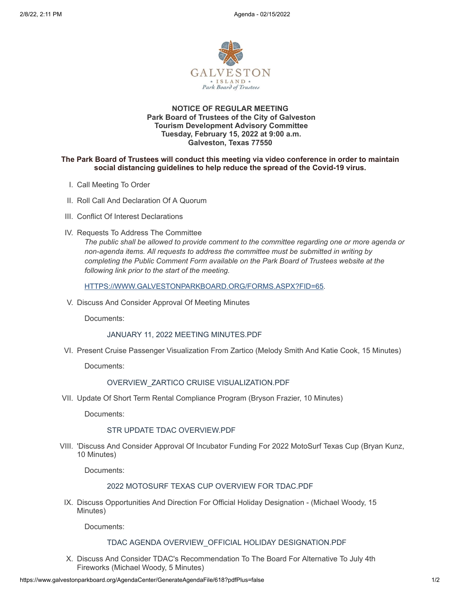

# **NOTICE OF REGULAR MEETING Park Board of Trustees of the City of Galveston Tourism Development Advisory Committee Tuesday, February 15, 2022 at 9:00 a.m. Galveston, Texas 77550**

### **The Park Board of Trustees will conduct this meeting via video conference in order to maintain social distancing guidelines to help reduce the spread of the Covid-19 virus.**

- I. Call Meeting To Order
- II. Roll Call And Declaration Of A Quorum
- III. Conflict Of Interest Declarations
- IV. Requests To Address The Committee

*The public shall be allowed to provide comment to the committee regarding one or more agenda or non-agenda items. All requests to address the committee must be submitted in writing by completing the Public Comment Form available on the Park Board of Trustees website at the following link prior to the start of the meeting.*

[HTTPS://WWW.GALVESTONPARKBOARD.ORG/FORMS.ASPX?FID=65](https://www.galvestonparkboard.org/forms.aspx?FID=65)*.*

V. Discuss And Consider Approval Of Meeting Minutes

Documents:

JANUARY 11, 2022 MEETING [MINUTES.PDF](https://www.galvestonparkboard.org/AgendaCenter/ViewFile/Item/7338?fileID=10773)

VI. Present Cruise Passenger Visualization From Zartico (Melody Smith And Katie Cook, 15 Minutes)

Documents:

# [OVERVIEW\\_ZARTICO](https://www.galvestonparkboard.org/AgendaCenter/ViewFile/Item/7339?fileID=10774) CRUISE VISUALIZATION.PDF

VII. Update Of Short Term Rental Compliance Program (Bryson Frazier, 10 Minutes)

Documents:

# STR UPDATE TDAC [OVERVIEW.PDF](https://www.galvestonparkboard.org/AgendaCenter/ViewFile/Item/7340?fileID=10775)

VIII. 'Discuss And Consider Approval Of Incubator Funding For 2022 MotoSurf Texas Cup (Bryan Kunz, 10 Minutes)

Documents:

#### 2022 [MOTOSURF](https://www.galvestonparkboard.org/AgendaCenter/ViewFile/Item/7341?fileID=10776) TEXAS CUP OVERVIEW FOR TDAC.PDF

IX. Discuss Opportunities And Direction For Official Holiday Designation - (Michael Woody, 15 Minutes)

Documents:

#### TDAC AGENDA [OVERVIEW\\_OFFICIAL](https://www.galvestonparkboard.org/AgendaCenter/ViewFile/Item/7342?fileID=10777) HOLIDAY DESIGNATION.PDF

X. Discuss And Consider TDAC's Recommendation To The Board For Alternative To July 4th Fireworks (Michael Woody, 5 Minutes)